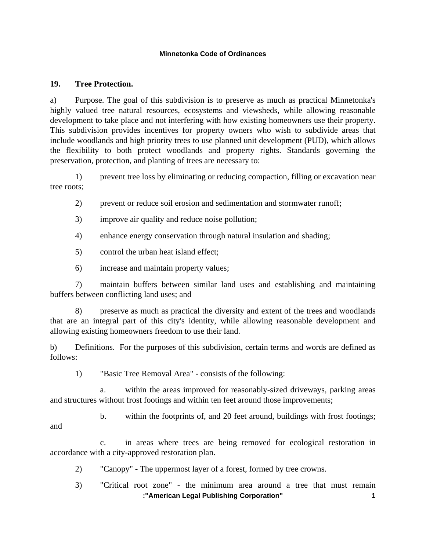# **19. Tree Protection.**

and

a) Purpose. The goal of this subdivision is to preserve as much as practical Minnetonka's highly valued tree natural resources, ecosystems and viewsheds, while allowing reasonable development to take place and not interfering with how existing homeowners use their property. This subdivision provides incentives for property owners who wish to subdivide areas that include woodlands and high priority trees to use planned unit development (PUD), which allows the flexibility to both protect woodlands and property rights. Standards governing the preservation, protection, and planting of trees are necessary to:

 1) prevent tree loss by eliminating or reducing compaction, filling or excavation near tree roots;

- 2) prevent or reduce soil erosion and sedimentation and stormwater runoff;
- 3) improve air quality and reduce noise pollution;
- 4) enhance energy conservation through natural insulation and shading;
- 5) control the urban heat island effect;
- 6) increase and maintain property values;

 7) maintain buffers between similar land uses and establishing and maintaining buffers between conflicting land uses; and

 8) preserve as much as practical the diversity and extent of the trees and woodlands that are an integral part of this city's identity, while allowing reasonable development and allowing existing homeowners freedom to use their land.

b) Definitions. For the purposes of this subdivision, certain terms and words are defined as follows:

1) "Basic Tree Removal Area" - consists of the following:

 a. within the areas improved for reasonably-sized driveways, parking areas and structures without frost footings and within ten feet around those improvements;

b. within the footprints of, and 20 feet around, buildings with frost footings;

 c. in areas where trees are being removed for ecological restoration in accordance with a city-approved restoration plan.

- 2) "Canopy" The uppermost layer of a forest, formed by tree crowns.
- **:"American Legal Publishing Corporation" 1** 3) "Critical root zone" - the minimum area around a tree that must remain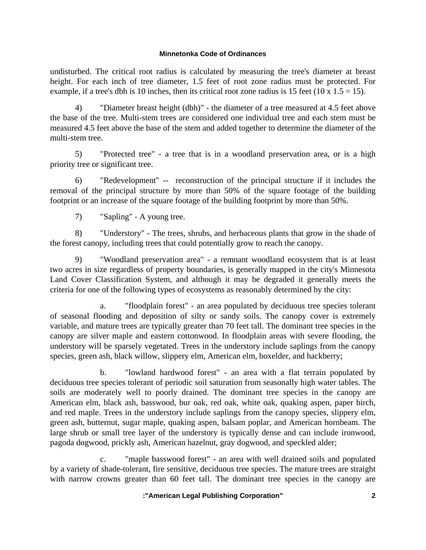undisturbed. The critical root radius is calculated by measuring the tree's diameter at breast height. For each inch of tree diameter, 1.5 feet of root zone radius must be protected. For example, if a tree's dbh is 10 inches, then its critical root zone radius is 15 feet (10 x  $1.5 = 15$ ).

 4) "Diameter breast height (dbh)" - the diameter of a tree measured at 4.5 feet above the base of the tree. Multi-stem trees are considered one individual tree and each stem must be measured 4.5 feet above the base of the stem and added together to determine the diameter of the multi-stem tree.

 5) "Protected tree" - a tree that is in a woodland preservation area, or is a high priority tree or significant tree.

 6) "Redevelopment" -- reconstruction of the principal structure if it includes the removal of the principal structure by more than 50% of the square footage of the building footprint or an increase of the square footage of the building footprint by more than 50%.

7) "Sapling" - A young tree.

 8) "Understory" - The trees, shrubs, and herbaceous plants that grow in the shade of the forest canopy, including trees that could potentially grow to reach the canopy.

 9) "Woodland preservation area" - a remnant woodland ecosystem that is at least two acres in size regardless of property boundaries, is generally mapped in the city's Minnesota Land Cover Classification System, and although it may be degraded it generally meets the criteria for one of the following types of ecosystems as reasonably determined by the city:

 a. "floodplain forest" - an area populated by deciduous tree species tolerant of seasonal flooding and deposition of silty or sandy soils. The canopy cover is extremely variable, and mature trees are typically greater than 70 feet tall. The dominant tree species in the canopy are silver maple and eastern cottonwood. In floodplain areas with severe flooding, the understory will be sparsely vegetated. Trees in the understory include saplings from the canopy species, green ash, black willow, slippery elm, American elm, boxelder, and hackberry;

 b. "lowland hardwood forest" - an area with a flat terrain populated by deciduous tree species tolerant of periodic soil saturation from seasonally high water tables. The soils are moderately well to poorly drained. The dominant tree species in the canopy are American elm, black ash, basswood, bur oak, red oak, white oak, quaking aspen, paper birch, and red maple. Trees in the understory include saplings from the canopy species, slippery elm, green ash, butternut, sugar maple, quaking aspen, balsam poplar, and American hornbeam. The large shrub or small tree layer of the understory is typically dense and can include ironwood, pagoda dogwood, prickly ash, American hazelnut, gray dogwood, and speckled alder;

 c. "maple basswood forest" - an area with well drained soils and populated by a variety of shade-tolerant, fire sensitive, deciduous tree species. The mature trees are straight with narrow crowns greater than 60 feet tall. The dominant tree species in the canopy are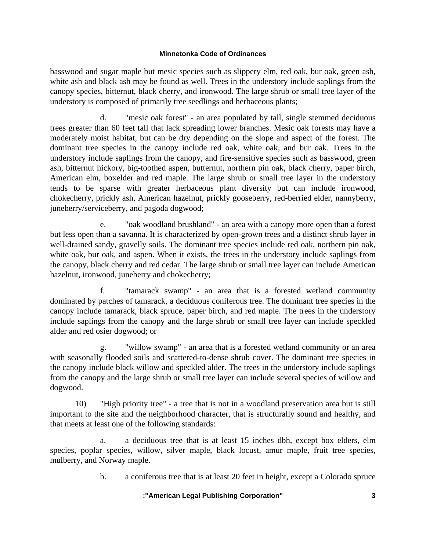basswood and sugar maple but mesic species such as slippery elm, red oak, bur oak, green ash, white ash and black ash may be found as well. Trees in the understory include saplings from the canopy species, bitternut, black cherry, and ironwood. The large shrub or small tree layer of the understory is composed of primarily tree seedlings and herbaceous plants;

 d. "mesic oak forest" - an area populated by tall, single stemmed deciduous trees greater than 60 feet tall that lack spreading lower branches. Mesic oak forests may have a moderately moist habitat, but can be dry depending on the slope and aspect of the forest. The dominant tree species in the canopy include red oak, white oak, and bur oak. Trees in the understory include saplings from the canopy, and fire-sensitive species such as basswood, green ash, bitternut hickory, big-toothed aspen, butternut, northern pin oak, black cherry, paper birch, American elm, boxelder and red maple. The large shrub or small tree layer in the understory tends to be sparse with greater herbaceous plant diversity but can include ironwood, chokecherry, prickly ash, American hazelnut, prickly gooseberry, red-berried elder, nannyberry, juneberry/serviceberry, and pagoda dogwood;

 e. "oak woodland brushland" - an area with a canopy more open than a forest but less open than a savanna. It is characterized by open-grown trees and a distinct shrub layer in well-drained sandy, gravelly soils. The dominant tree species include red oak, northern pin oak, white oak, bur oak, and aspen. When it exists, the trees in the understory include saplings from the canopy, black cherry and red cedar. The large shrub or small tree layer can include American hazelnut, ironwood, juneberry and chokecherry;

 f. "tamarack swamp" - an area that is a forested wetland community dominated by patches of tamarack, a deciduous coniferous tree. The dominant tree species in the canopy include tamarack, black spruce, paper birch, and red maple. The trees in the understory include saplings from the canopy and the large shrub or small tree layer can include speckled alder and red osier dogwood; or

 g. "willow swamp" - an area that is a forested wetland community or an area with seasonally flooded soils and scattered-to-dense shrub cover. The dominant tree species in the canopy include black willow and speckled alder. The trees in the understory include saplings from the canopy and the large shrub or small tree layer can include several species of willow and dogwood.

 10) "High priority tree" - a tree that is not in a woodland preservation area but is still important to the site and the neighborhood character, that is structurally sound and healthy, and that meets at least one of the following standards:

 a. a deciduous tree that is at least 15 inches dbh, except box elders, elm species, poplar species, willow, silver maple, black locust, amur maple, fruit tree species, mulberry, and Norway maple.

b. a coniferous tree that is at least 20 feet in height, except a Colorado spruce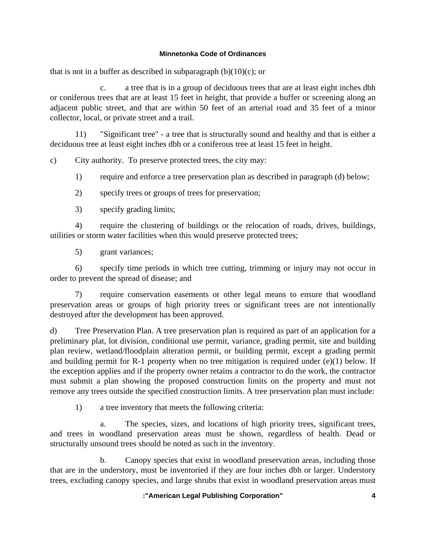that is not in a buffer as described in subparagraph  $(b)(10)(c)$ ; or

 c. a tree that is in a group of deciduous trees that are at least eight inches dbh or coniferous trees that are at least 15 feet in height, that provide a buffer or screening along an adjacent public street, and that are within 50 feet of an arterial road and 35 feet of a minor collector, local, or private street and a trail.

 11) "Significant tree" - a tree that is structurally sound and healthy and that is either a deciduous tree at least eight inches dbh or a coniferous tree at least 15 feet in height.

c) City authority. To preserve protected trees, the city may:

1) require and enforce a tree preservation plan as described in paragraph (d) below;

- 2) specify trees or groups of trees for preservation;
- 3) specify grading limits;

 4) require the clustering of buildings or the relocation of roads, drives, buildings, utilities or storm water facilities when this would preserve protected trees;

5) grant variances;

 6) specify time periods in which tree cutting, trimming or injury may not occur in order to prevent the spread of disease; and

 7) require conservation easements or other legal means to ensure that woodland preservation areas or groups of high priority trees or significant trees are not intentionally destroyed after the development has been approved.

d) Tree Preservation Plan. A tree preservation plan is required as part of an application for a preliminary plat, lot division, conditional use permit, variance, grading permit, site and building plan review, wetland/floodplain alteration permit, or building permit, except a grading permit and building permit for R-1 property when no tree mitigation is required under (e)(1) below. If the exception applies and if the property owner retains a contractor to do the work, the contractor must submit a plan showing the proposed construction limits on the property and must not remove any trees outside the specified construction limits. A tree preservation plan must include:

1) a tree inventory that meets the following criteria:

 a. The species, sizes, and locations of high priority trees, significant trees, and trees in woodland preservation areas must be shown, regardless of health. Dead or structurally unsound trees should be noted as such in the inventory.

 b. Canopy species that exist in woodland preservation areas, including those that are in the understory, must be inventoried if they are four inches dbh or larger. Understory trees, excluding canopy species, and large shrubs that exist in woodland preservation areas must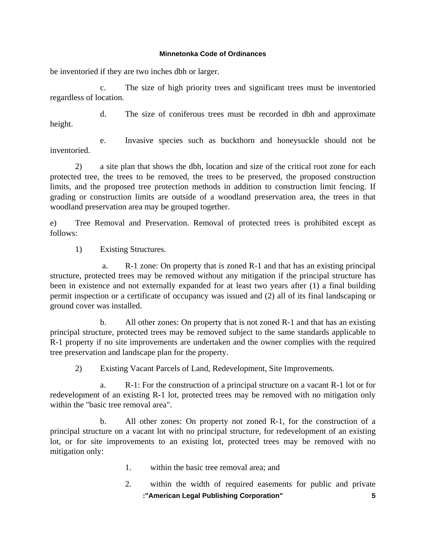be inventoried if they are two inches dbh or larger.

 c. The size of high priority trees and significant trees must be inventoried regardless of location.

 d. The size of coniferous trees must be recorded in dbh and approximate height.

 e. Invasive species such as buckthorn and honeysuckle should not be inventoried.

 2) a site plan that shows the dbh, location and size of the critical root zone for each protected tree, the trees to be removed, the trees to be preserved, the proposed construction limits, and the proposed tree protection methods in addition to construction limit fencing. If grading or construction limits are outside of a woodland preservation area, the trees in that woodland preservation area may be grouped together.

e) Tree Removal and Preservation. Removal of protected trees is prohibited except as follows:

1) Existing Structures.

 a. R-1 zone: On property that is zoned R-1 and that has an existing principal structure, protected trees may be removed without any mitigation if the principal structure has been in existence and not externally expanded for at least two years after (1) a final building permit inspection or a certificate of occupancy was issued and (2) all of its final landscaping or ground cover was installed.

 b. All other zones: On property that is not zoned R-1 and that has an existing principal structure, protected trees may be removed subject to the same standards applicable to R-1 property if no site improvements are undertaken and the owner complies with the required tree preservation and landscape plan for the property.

2) Existing Vacant Parcels of Land, Redevelopment, Site Improvements.

 a. R-1: For the construction of a principal structure on a vacant R-1 lot or for redevelopment of an existing R-1 lot, protected trees may be removed with no mitigation only within the "basic tree removal area".

 b. All other zones: On property not zoned R-1, for the construction of a principal structure on a vacant lot with no principal structure, for redevelopment of an existing lot, or for site improvements to an existing lot, protected trees may be removed with no mitigation only:

- 1. within the basic tree removal area; and
- **:"American Legal Publishing Corporation" 5** 2. within the width of required easements for public and private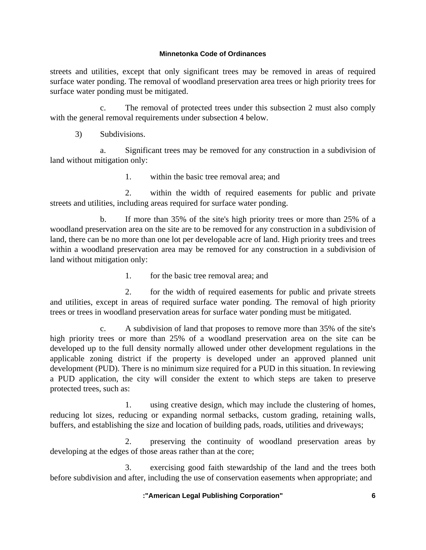streets and utilities, except that only significant trees may be removed in areas of required surface water ponding. The removal of woodland preservation area trees or high priority trees for surface water ponding must be mitigated.

 c. The removal of protected trees under this subsection 2 must also comply with the general removal requirements under subsection 4 below.

3) Subdivisions.

 a. Significant trees may be removed for any construction in a subdivision of land without mitigation only:

1. within the basic tree removal area; and

 2. within the width of required easements for public and private streets and utilities, including areas required for surface water ponding.

 b. If more than 35% of the site's high priority trees or more than 25% of a woodland preservation area on the site are to be removed for any construction in a subdivision of land, there can be no more than one lot per developable acre of land. High priority trees and trees within a woodland preservation area may be removed for any construction in a subdivision of land without mitigation only:

1. for the basic tree removal area; and

 2. for the width of required easements for public and private streets and utilities, except in areas of required surface water ponding. The removal of high priority trees or trees in woodland preservation areas for surface water ponding must be mitigated.

 c. A subdivision of land that proposes to remove more than 35% of the site's high priority trees or more than 25% of a woodland preservation area on the site can be developed up to the full density normally allowed under other development regulations in the applicable zoning district if the property is developed under an approved planned unit development (PUD). There is no minimum size required for a PUD in this situation. In reviewing a PUD application, the city will consider the extent to which steps are taken to preserve protected trees, such as:

 1. using creative design, which may include the clustering of homes, reducing lot sizes, reducing or expanding normal setbacks, custom grading, retaining walls, buffers, and establishing the size and location of building pads, roads, utilities and driveways;

 2. preserving the continuity of woodland preservation areas by developing at the edges of those areas rather than at the core;

 3. exercising good faith stewardship of the land and the trees both before subdivision and after, including the use of conservation easements when appropriate; and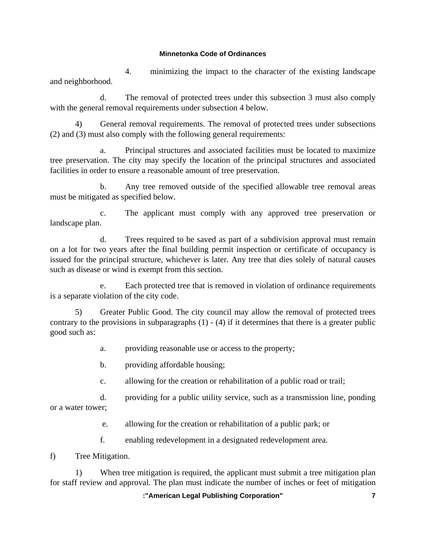4. minimizing the impact to the character of the existing landscape and neighborhood.

 d. The removal of protected trees under this subsection 3 must also comply with the general removal requirements under subsection 4 below.

 4) General removal requirements. The removal of protected trees under subsections (2) and (3) must also comply with the following general requirements:

 a. Principal structures and associated facilities must be located to maximize tree preservation. The city may specify the location of the principal structures and associated facilities in order to ensure a reasonable amount of tree preservation.

 b. Any tree removed outside of the specified allowable tree removal areas must be mitigated as specified below.

 c. The applicant must comply with any approved tree preservation or landscape plan.

 d. Trees required to be saved as part of a subdivision approval must remain on a lot for two years after the final building permit inspection or certificate of occupancy is issued for the principal structure, whichever is later. Any tree that dies solely of natural causes such as disease or wind is exempt from this section.

 e. Each protected tree that is removed in violation of ordinance requirements is a separate violation of the city code.

 5) Greater Public Good. The city council may allow the removal of protected trees contrary to the provisions in subparagraphs  $(1)$  -  $(4)$  if it determines that there is a greater public good such as:

a. providing reasonable use or access to the property;

- b. providing affordable housing;
- c. allowing for the creation or rehabilitation of a public road or trail;

 d. providing for a public utility service, such as a transmission line, ponding or a water tower;

- e. allowing for the creation or rehabilitation of a public park; or
- f. enabling redevelopment in a designated redevelopment area.

f) Tree Mitigation.

 1) When tree mitigation is required, the applicant must submit a tree mitigation plan for staff review and approval. The plan must indicate the number of inches or feet of mitigation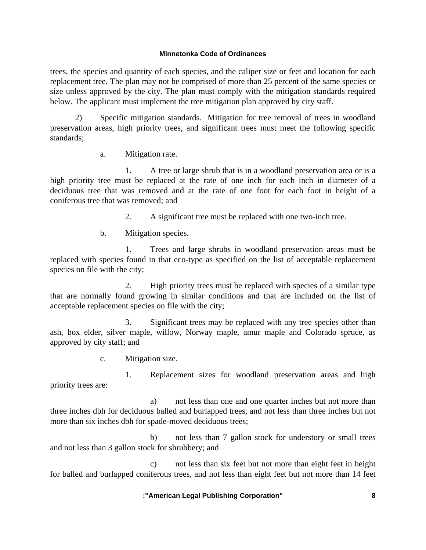trees, the species and quantity of each species, and the caliper size or feet and location for each replacement tree. The plan may not be comprised of more than 25 percent of the same species or size unless approved by the city. The plan must comply with the mitigation standards required below. The applicant must implement the tree mitigation plan approved by city staff.

 2) Specific mitigation standards. Mitigation for tree removal of trees in woodland preservation areas, high priority trees, and significant trees must meet the following specific standards;

a. Mitigation rate.

 1. A tree or large shrub that is in a woodland preservation area or is a high priority tree must be replaced at the rate of one inch for each inch in diameter of a deciduous tree that was removed and at the rate of one foot for each foot in height of a coniferous tree that was removed; and

2. A significant tree must be replaced with one two-inch tree.

b. Mitigation species.

 1. Trees and large shrubs in woodland preservation areas must be replaced with species found in that eco-type as specified on the list of acceptable replacement species on file with the city;

 2. High priority trees must be replaced with species of a similar type that are normally found growing in similar conditions and that are included on the list of acceptable replacement species on file with the city;

 3. Significant trees may be replaced with any tree species other than ash, box elder, silver maple, willow, Norway maple, amur maple and Colorado spruce, as approved by city staff; and

c. Mitigation size.

 1. Replacement sizes for woodland preservation areas and high priority trees are:

 a) not less than one and one quarter inches but not more than three inches dbh for deciduous balled and burlapped trees, and not less than three inches but not more than six inches dbh for spade-moved deciduous trees;

 b) not less than 7 gallon stock for understory or small trees and not less than 3 gallon stock for shrubbery; and

 c) not less than six feet but not more than eight feet in height for balled and burlapped coniferous trees, and not less than eight feet but not more than 14 feet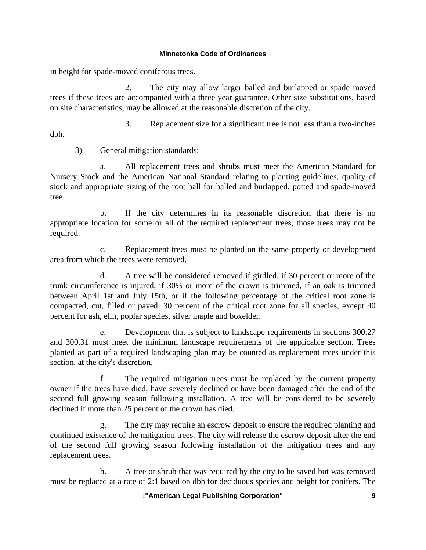in height for spade-moved coniferous trees.

 2. The city may allow larger balled and burlapped or spade moved trees if these trees are accompanied with a three year guarantee. Other size substitutions, based on site characteristics, may be allowed at the reasonable discretion of the city,

3. Replacement size for a significant tree is not less than a two-inches

dbh.

3) General mitigation standards:

 a. All replacement trees and shrubs must meet the American Standard for Nursery Stock and the American National Standard relating to planting guidelines, quality of stock and appropriate sizing of the root ball for balled and burlapped, potted and spade-moved tree.

 b. If the city determines in its reasonable discretion that there is no appropriate location for some or all of the required replacement trees, those trees may not be required.

 c. Replacement trees must be planted on the same property or development area from which the trees were removed.

 d. A tree will be considered removed if girdled, if 30 percent or more of the trunk circumference is injured, if 30% or more of the crown is trimmed, if an oak is trimmed between April 1st and July 15th, or if the following percentage of the critical root zone is compacted, cut, filled or paved: 30 percent of the critical root zone for all species, except 40 percent for ash, elm, poplar species, silver maple and boxelder.

 e. Development that is subject to landscape requirements in sections 300.27 and 300.31 must meet the minimum landscape requirements of the applicable section. Trees planted as part of a required landscaping plan may be counted as replacement trees under this section, at the city's discretion.

 f. The required mitigation trees must be replaced by the current property owner if the trees have died, have severely declined or have been damaged after the end of the second full growing season following installation. A tree will be considered to be severely declined if more than 25 percent of the crown has died.

 g. The city may require an escrow deposit to ensure the required planting and continued existence of the mitigation trees. The city will release the escrow deposit after the end of the second full growing season following installation of the mitigation trees and any replacement trees.

 h. A tree or shrub that was required by the city to be saved but was removed must be replaced at a rate of 2:1 based on dbh for deciduous species and height for conifers. The